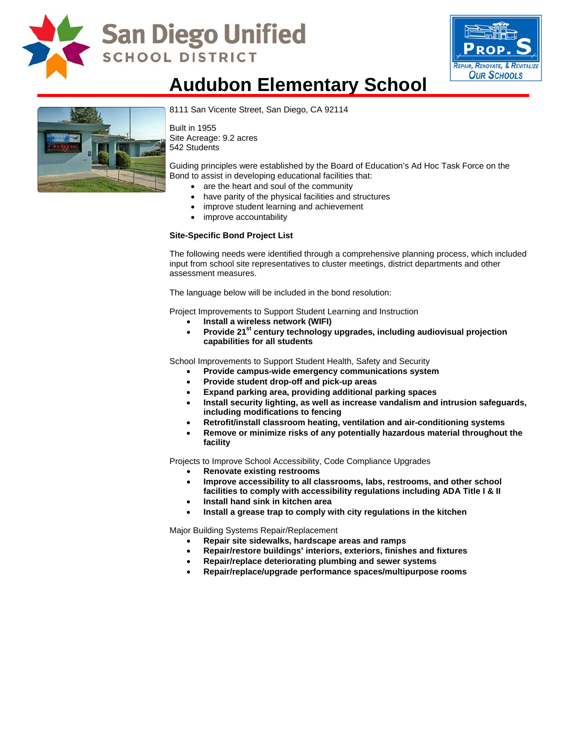

# **San Diego Unified SCHOOL DISTRICT**



## **Audubon Elementary School**



[8111 San Vicente Street, San Diego](http://www.sandi.net/comm/schools/schlpix/audubon.jpg), CA 92114

Built in 1955 Site Acreage: 9.2 acres 542 Students

Guiding principles were established by the Board of Education's Ad Hoc Task Force on the Bond to assist in developing educational facilities that:

- are the heart and soul of the community
- have parity of the physical facilities and structures
- improve student learning and achievement
- improve accountability

#### **Site-Specific Bond Project List**

The following needs were identified through a comprehensive planning process, which included input from school site representatives to cluster meetings, district departments and other assessment measures.

The language below will be included in the bond resolution:

Project Improvements to Support Student Learning and Instruction

- **Install a wireless network (WIFI)**
- Provide 21<sup>st</sup> century technology upgrades, including audiovisual projection **capabilities for all students**

School Improvements to Support Student Health, Safety and Security

- **Provide campus-wide emergency communications system**
- **Provide student drop-off and pick-up areas**
- **Expand parking area, providing additional parking spaces**
- **Install security lighting, as well as increase vandalism and intrusion safeguards, including modifications to fencing**
- **Retrofit/install classroom heating, ventilation and air-conditioning systems**
- **Remove or minimize risks of any potentially hazardous material throughout the facility**

Projects to Improve School Accessibility, Code Compliance Upgrades

- **Renovate existing restrooms**
- **Improve accessibility to all classrooms, labs, restrooms, and other school facilities to comply with accessibility regulations including ADA Title I & II**
- **Install hand sink in kitchen area**
- **Install a grease trap to comply with city regulations in the kitchen**

Major Building Systems Repair/Replacement

- **Repair site sidewalks, hardscape areas and ramps**
- **Repair/restore buildings' interiors, exteriors, finishes and fixtures**
- **Repair/replace deteriorating plumbing and sewer systems**
- **Repair/replace/upgrade performance spaces/multipurpose rooms**